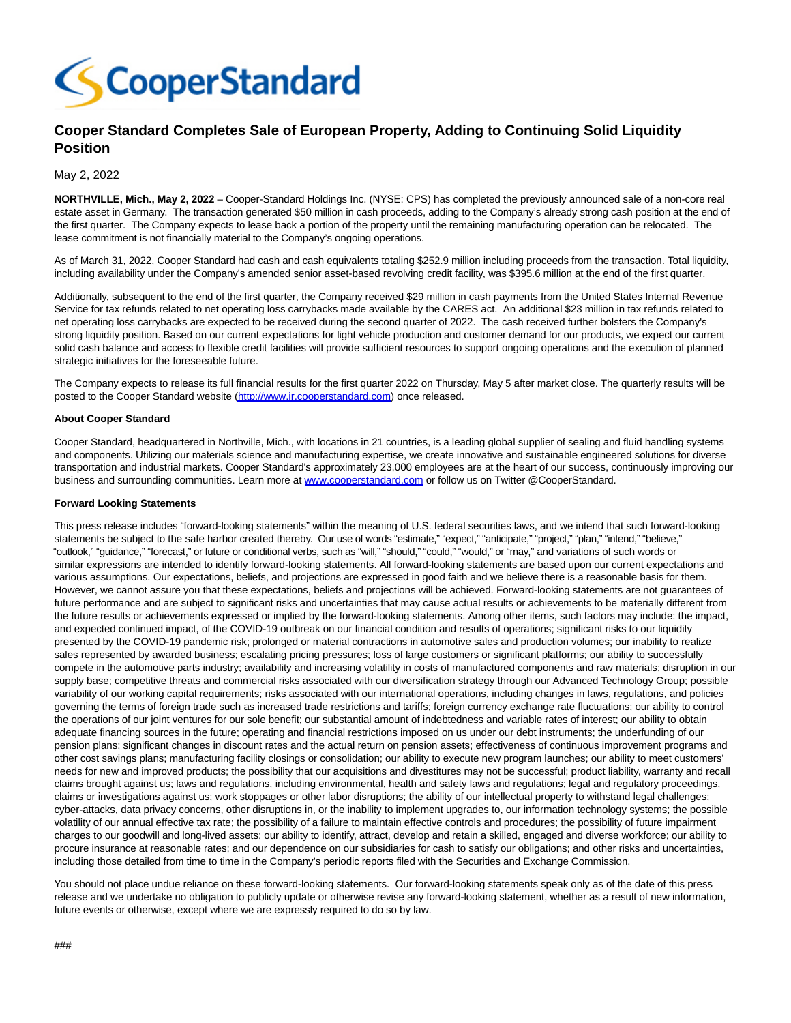

## **Cooper Standard Completes Sale of European Property, Adding to Continuing Solid Liquidity Position**

May 2, 2022

**NORTHVILLE, Mich., May 2, 2022** – Cooper-Standard Holdings Inc. (NYSE: CPS) has completed the previously announced sale of a non-core real estate asset in Germany. The transaction generated \$50 million in cash proceeds, adding to the Company's already strong cash position at the end of the first quarter. The Company expects to lease back a portion of the property until the remaining manufacturing operation can be relocated. The lease commitment is not financially material to the Company's ongoing operations.

As of March 31, 2022, Cooper Standard had cash and cash equivalents totaling \$252.9 million including proceeds from the transaction. Total liquidity, including availability under the Company's amended senior asset-based revolving credit facility, was \$395.6 million at the end of the first quarter.

Additionally, subsequent to the end of the first quarter, the Company received \$29 million in cash payments from the United States Internal Revenue Service for tax refunds related to net operating loss carrybacks made available by the CARES act. An additional \$23 million in tax refunds related to net operating loss carrybacks are expected to be received during the second quarter of 2022. The cash received further bolsters the Company's strong liquidity position. Based on our current expectations for light vehicle production and customer demand for our products, we expect our current solid cash balance and access to flexible credit facilities will provide sufficient resources to support ongoing operations and the execution of planned strategic initiatives for the foreseeable future.

The Company expects to release its full financial results for the first quarter 2022 on Thursday, May 5 after market close. The quarterly results will be posted to the Cooper Standard website [\(http://www.ir.cooperstandard.com\)](http://www.ir.cooperstandard.com/) once released.

## **About Cooper Standard**

Cooper Standard, headquartered in Northville, Mich., with locations in 21 countries, is a leading global supplier of sealing and fluid handling systems and components. Utilizing our materials science and manufacturing expertise, we create innovative and sustainable engineered solutions for diverse transportation and industrial markets. Cooper Standard's approximately 23,000 employees are at the heart of our success, continuously improving our business and surrounding communities. Learn more at [www.cooperstandard.com o](file:///C:/Windows/Temp/ABCpdf/www.cooperstandard.com)r follow us on Twitter @CooperStandard.

## **Forward Looking Statements**

This press release includes "forward-looking statements" within the meaning of U.S. federal securities laws, and we intend that such forward-looking statements be subject to the safe harbor created thereby. Our use of words "estimate," "expect," "anticipate," "project," "plan," "intend," "believe," "outlook," "guidance," "forecast," or future or conditional verbs, such as "will," "should," "could," "would," or "may," and variations of such words or similar expressions are intended to identify forward-looking statements. All forward-looking statements are based upon our current expectations and various assumptions. Our expectations, beliefs, and projections are expressed in good faith and we believe there is a reasonable basis for them. However, we cannot assure you that these expectations, beliefs and projections will be achieved. Forward-looking statements are not guarantees of future performance and are subject to significant risks and uncertainties that may cause actual results or achievements to be materially different from the future results or achievements expressed or implied by the forward-looking statements. Among other items, such factors may include: the impact, and expected continued impact, of the COVID-19 outbreak on our financial condition and results of operations; significant risks to our liquidity presented by the COVID-19 pandemic risk; prolonged or material contractions in automotive sales and production volumes; our inability to realize sales represented by awarded business; escalating pricing pressures; loss of large customers or significant platforms; our ability to successfully compete in the automotive parts industry; availability and increasing volatility in costs of manufactured components and raw materials; disruption in our supply base; competitive threats and commercial risks associated with our diversification strategy through our Advanced Technology Group; possible variability of our working capital requirements; risks associated with our international operations, including changes in laws, regulations, and policies governing the terms of foreign trade such as increased trade restrictions and tariffs; foreign currency exchange rate fluctuations; our ability to control the operations of our joint ventures for our sole benefit; our substantial amount of indebtedness and variable rates of interest; our ability to obtain adequate financing sources in the future; operating and financial restrictions imposed on us under our debt instruments; the underfunding of our pension plans; significant changes in discount rates and the actual return on pension assets; effectiveness of continuous improvement programs and other cost savings plans; manufacturing facility closings or consolidation; our ability to execute new program launches; our ability to meet customers' needs for new and improved products; the possibility that our acquisitions and divestitures may not be successful; product liability, warranty and recall claims brought against us; laws and regulations, including environmental, health and safety laws and regulations; legal and regulatory proceedings, claims or investigations against us; work stoppages or other labor disruptions; the ability of our intellectual property to withstand legal challenges; cyber-attacks, data privacy concerns, other disruptions in, or the inability to implement upgrades to, our information technology systems; the possible volatility of our annual effective tax rate; the possibility of a failure to maintain effective controls and procedures; the possibility of future impairment charges to our goodwill and long-lived assets; our ability to identify, attract, develop and retain a skilled, engaged and diverse workforce; our ability to procure insurance at reasonable rates; and our dependence on our subsidiaries for cash to satisfy our obligations; and other risks and uncertainties, including those detailed from time to time in the Company's periodic reports filed with the Securities and Exchange Commission.

You should not place undue reliance on these forward-looking statements. Our forward-looking statements speak only as of the date of this press release and we undertake no obligation to publicly update or otherwise revise any forward-looking statement, whether as a result of new information, future events or otherwise, except where we are expressly required to do so by law.